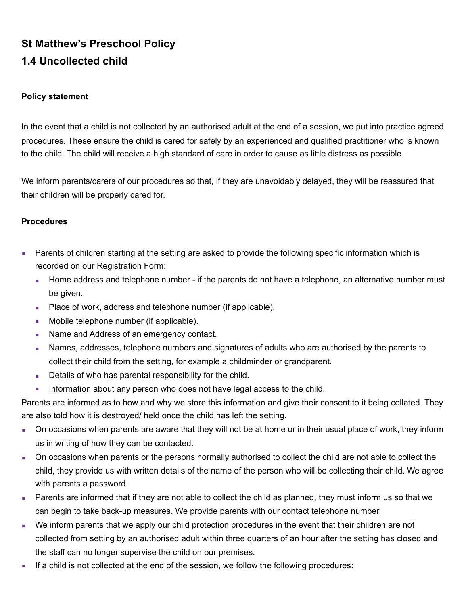## **St Matthew's Preschool Policy 1.4 Uncollected child**

## **Policy statement**

In the event that a child is not collected by an authorised adult at the end of a session, we put into practice agreed procedures. These ensure the child is cared for safely by an experienced and qualified practitioner who is known to the child. The child will receive a high standard of care in order to cause as little distress as possible.

We inform parents/carers of our procedures so that, if they are unavoidably delayed, they will be reassured that their children will be properly cared for.

## **Procedures**

- Parents of children starting at the setting are asked to provide the following specific information which is recorded on our Registration Form:
	- Home address and telephone number if the parents do not have a telephone, an alternative number must be given.
	- Place of work, address and telephone number (if applicable).
	- **Mobile telephone number (if applicable).**
	- **I** Name and Address of an emergency contact.
	- Names, addresses, telephone numbers and signatures of adults who are authorised by the parents to collect their child from the setting, for example a childminder or grandparent.
	- **Details of who has parental responsibility for the child.**
	- **EXECT** Information about any person who does not have legal access to the child.

Parents are informed as to how and why we store this information and give their consent to it being collated. They are also told how it is destroyed/ held once the child has left the setting.

- **•** On occasions when parents are aware that they will not be at home or in their usual place of work, they inform us in writing of how they can be contacted.
- On occasions when parents or the persons normally authorised to collect the child are not able to collect the child, they provide us with written details of the name of the person who will be collecting their child. We agree with parents a password.
- **EXECT** Parents are informed that if they are not able to collect the child as planned, they must inform us so that we can begin to take back-up measures. We provide parents with our contact telephone number.
- We inform parents that we apply our child protection procedures in the event that their children are not collected from setting by an authorised adult within three quarters of an hour after the setting has closed and the staff can no longer supervise the child on our premises.
- **.** If a child is not collected at the end of the session, we follow the following procedures: